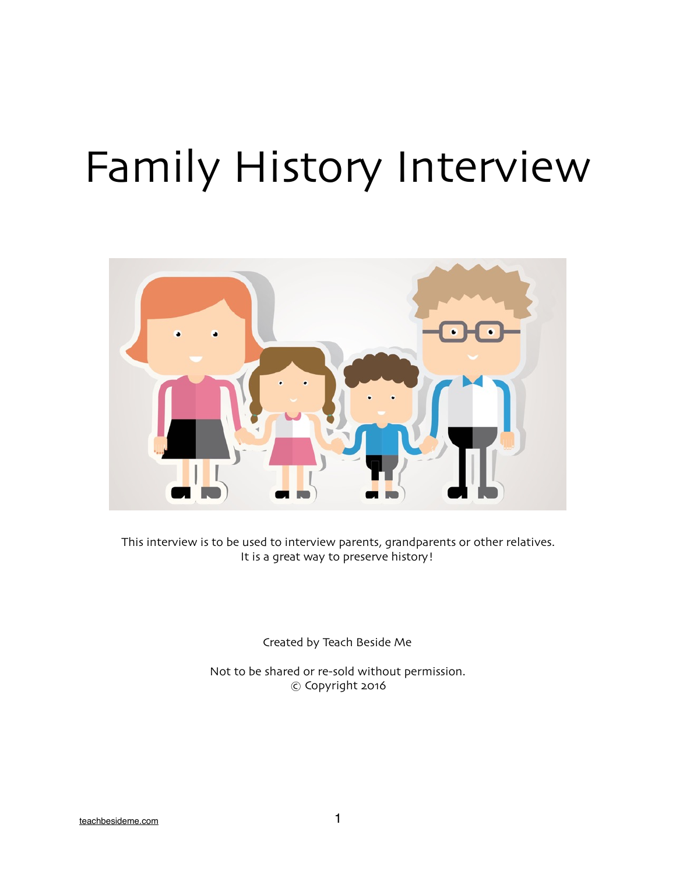# Family History Interview



This interview is to be used to interview parents, grandparents or other relatives. It is a great way to preserve history!

Created by Teach Beside Me

Not to be shared or re-sold without permission. © Copyright 2016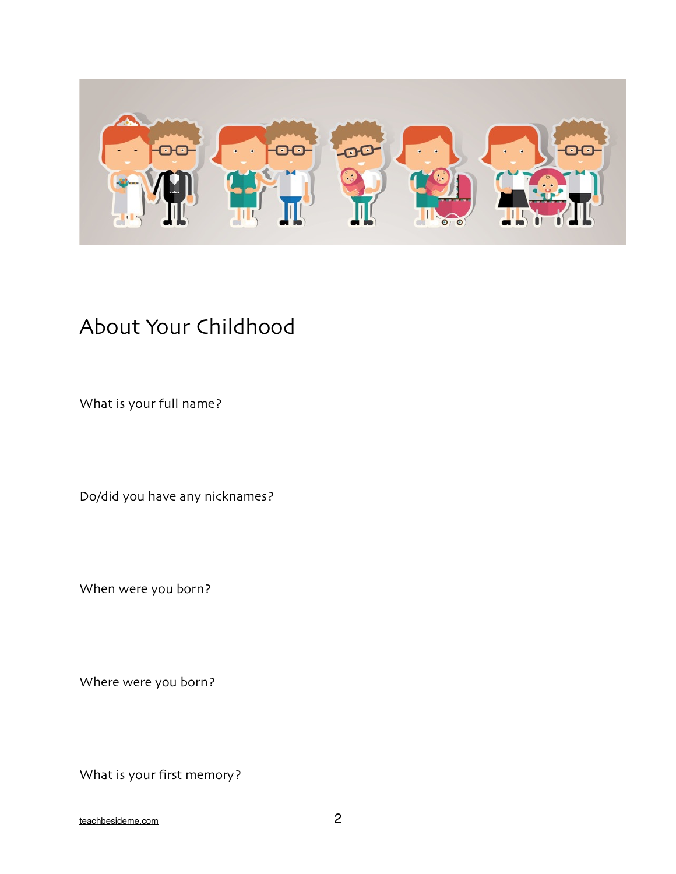

#### About Your Childhood

What is your full name?

Do/did you have any nicknames?

When were you born?

Where were you born?

What is your first memory?

[teachbesideme.com](http://teachbesideme.com) 2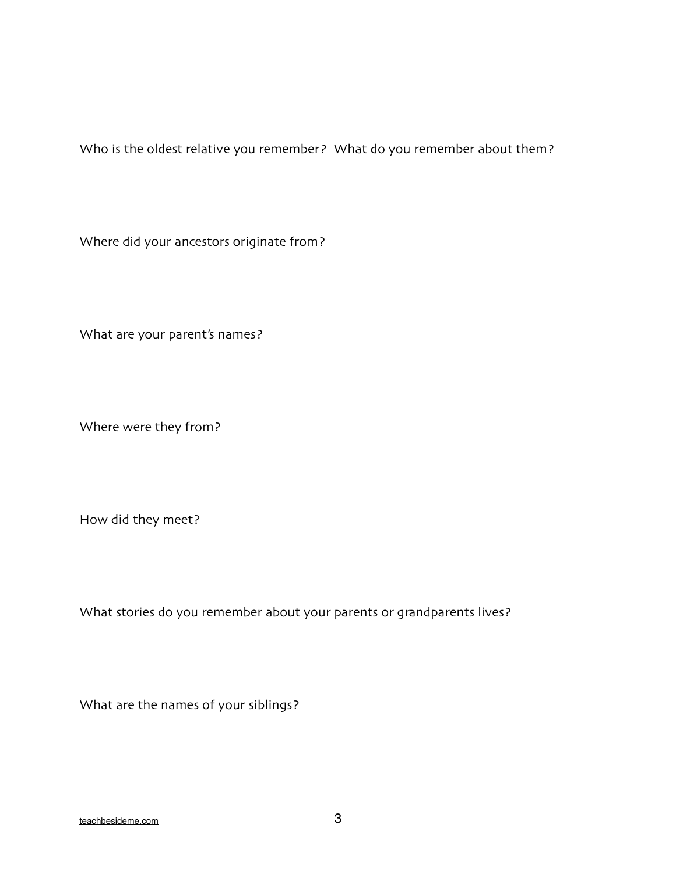Who is the oldest relative you remember? What do you remember about them?

Where did your ancestors originate from?

What are your parent's names?

Where were they from?

How did they meet?

What stories do you remember about your parents or grandparents lives?

What are the names of your siblings?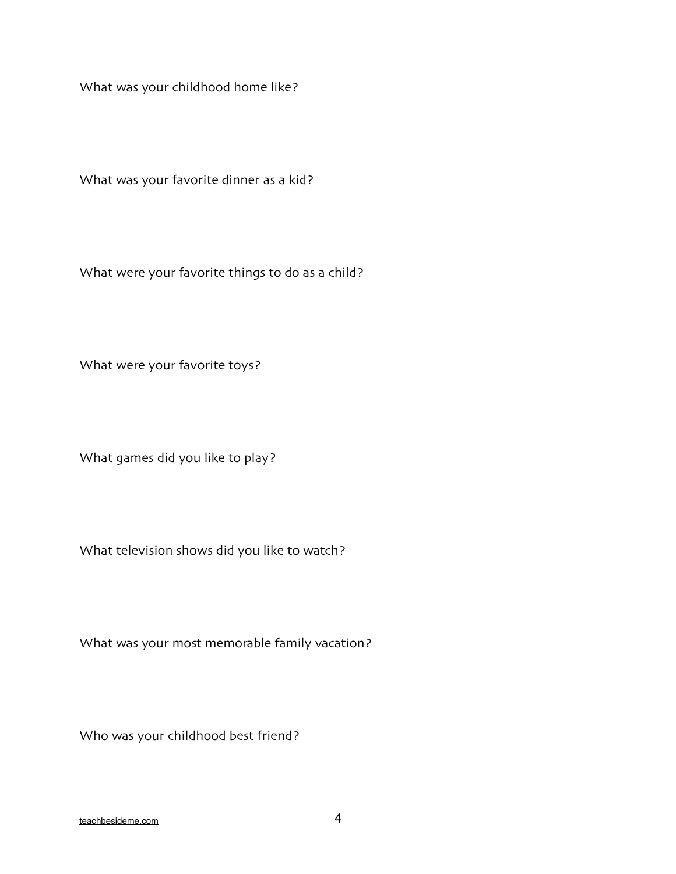What was your childhood home like?

What was your favorite dinner as a kid?

What were your favorite things to do as a child?

What were your favorite toys?

What games did you like to play?

What television shows did you like to watch?

What was your most memorable family vacation?

Who was your childhood best friend?

[teachbesideme.com](http://teachbesideme.com) 4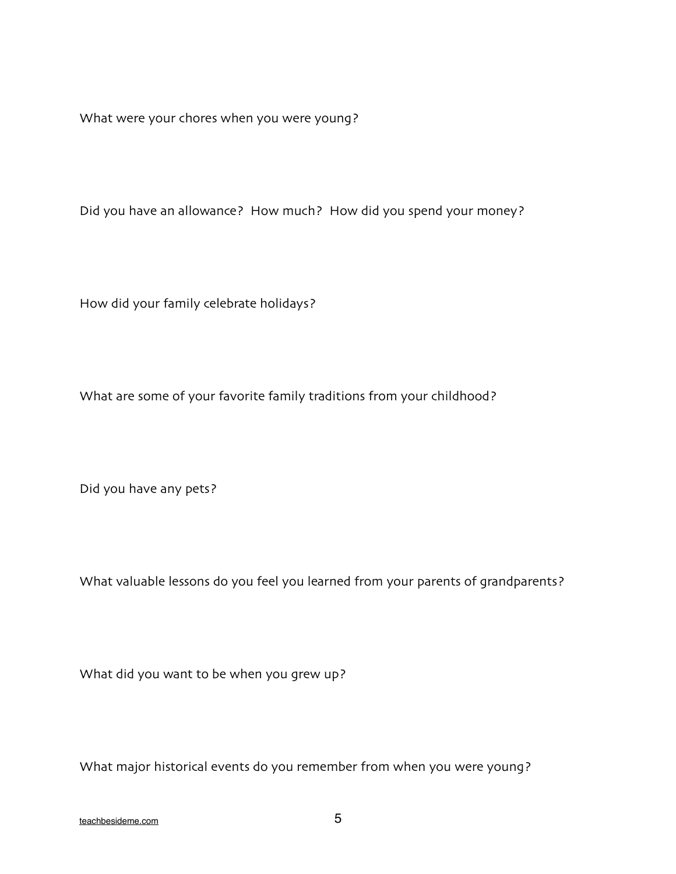What were your chores when you were young?

Did you have an allowance? How much? How did you spend your money?

How did your family celebrate holidays?

What are some of your favorite family traditions from your childhood?

Did you have any pets?

What valuable lessons do you feel you learned from your parents of grandparents?

What did you want to be when you grew up?

What major historical events do you remember from when you were young?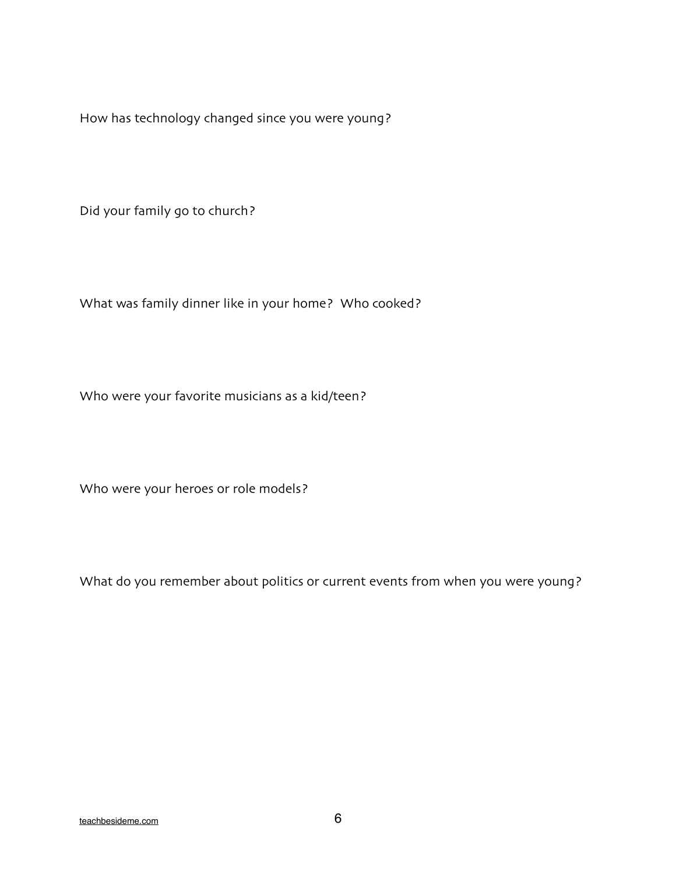How has technology changed since you were young?

Did your family go to church?

What was family dinner like in your home? Who cooked?

Who were your favorite musicians as a kid/teen?

Who were your heroes or role models?

What do you remember about politics or current events from when you were young?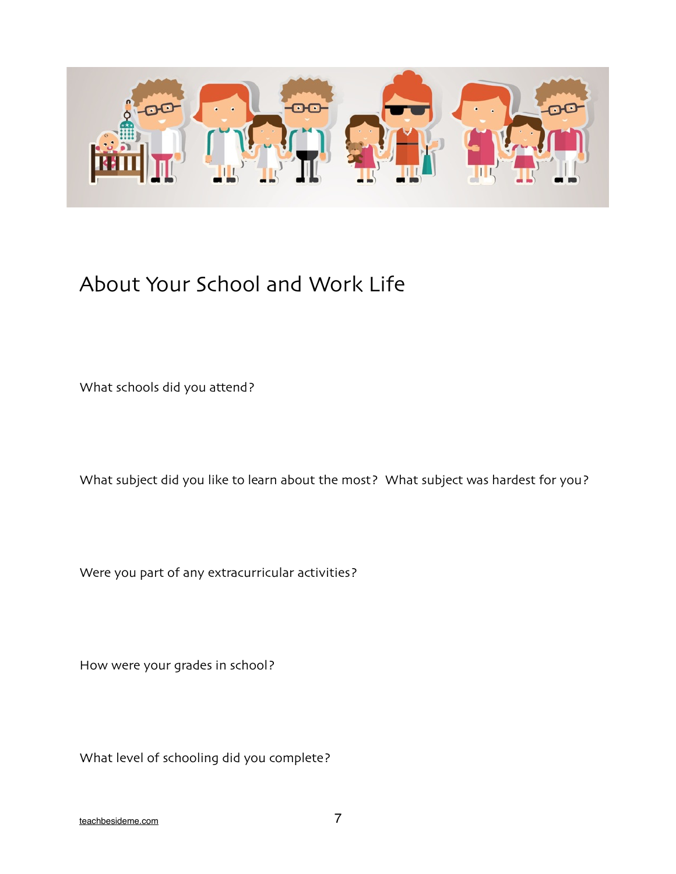

### About Your School and Work Life

What schools did you attend?

What subject did you like to learn about the most? What subject was hardest for you?

Were you part of any extracurricular activities?

How were your grades in school?

What level of schooling did you complete?

[teachbesideme.com](http://teachbesideme.com) 7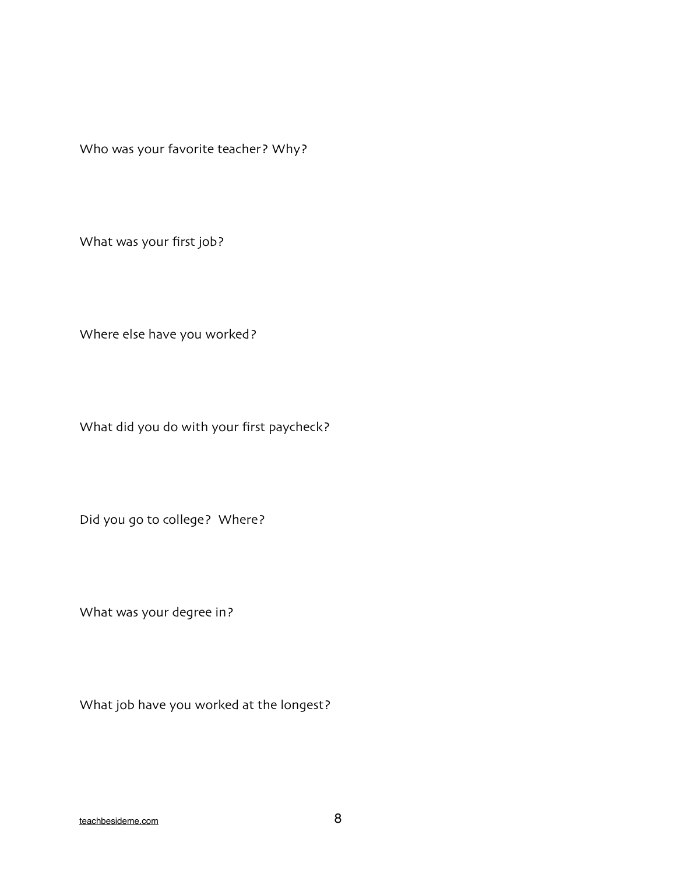Who was your favorite teacher? Why?

What was your first job?

Where else have you worked?

What did you do with your first paycheck?

Did you go to college? Where?

What was your degree in?

What job have you worked at the longest?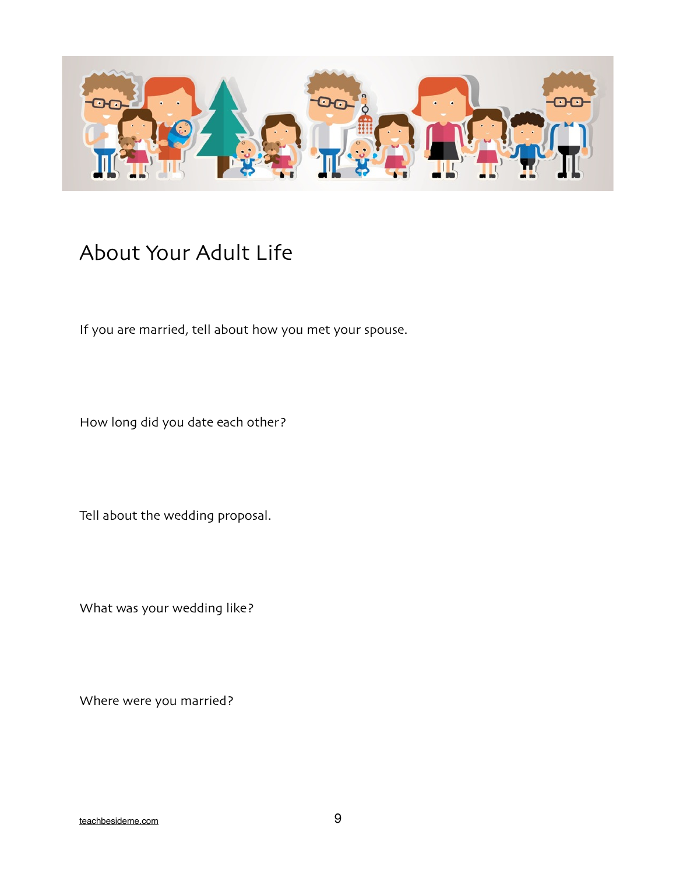

#### About Your Adult Life

If you are married, tell about how you met your spouse.

How long did you date each other?

Tell about the wedding proposal.

What was your wedding like?

Where were you married?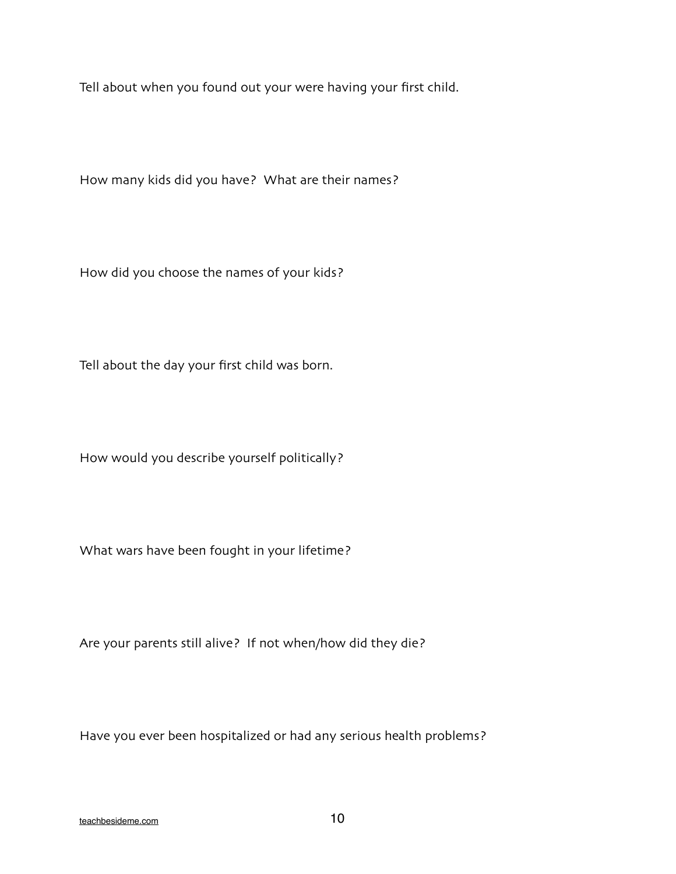Tell about when you found out your were having your first child.

How many kids did you have? What are their names?

How did you choose the names of your kids?

Tell about the day your first child was born.

How would you describe yourself politically?

What wars have been fought in your lifetime?

Are your parents still alive? If not when/how did they die?

Have you ever been hospitalized or had any serious health problems?

[teachbesideme.com](http://teachbesideme.com) and the state of the state of the state of the state of the state of the state of the state of the state of the state of the state of the state of the state of the state of the state of the state of the s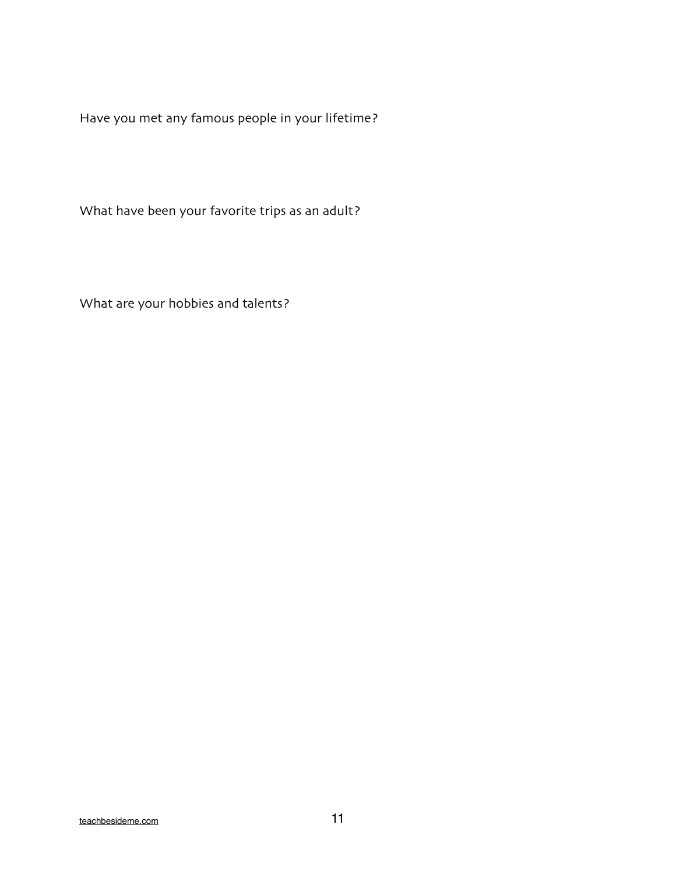Have you met any famous people in your lifetime?

What have been your favorite trips as an adult?

What are your hobbies and talents?